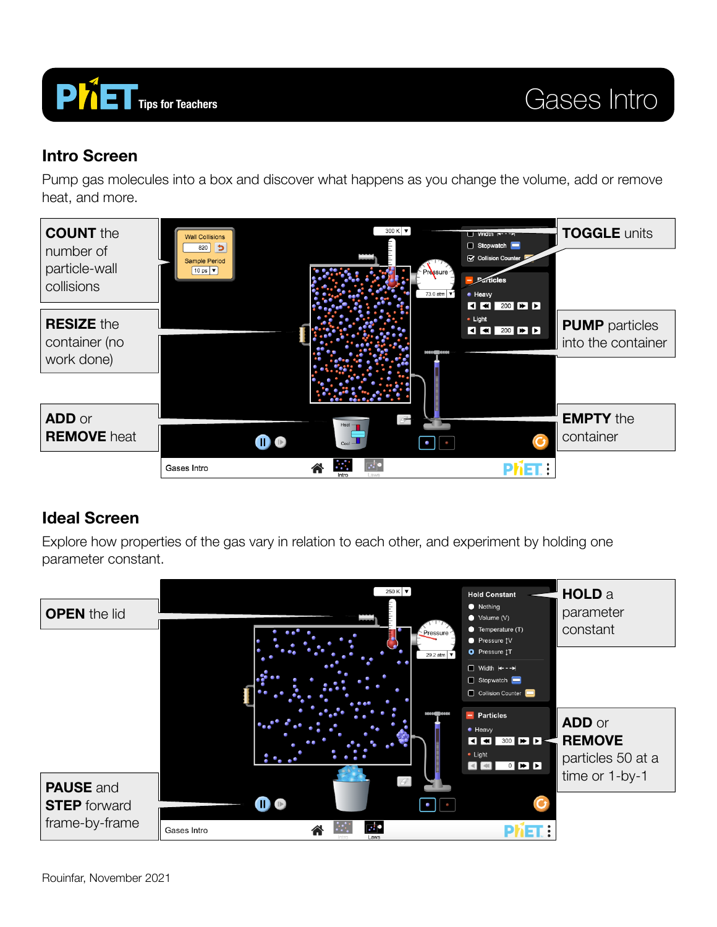

#### **Intro Screen**

Pump gas molecules into a box and discover what happens as you change the volume, add or remove heat, and more.



### **Ideal Screen**

Explore how properties of the gas vary in relation to each other, and experiment by holding one parameter constant.